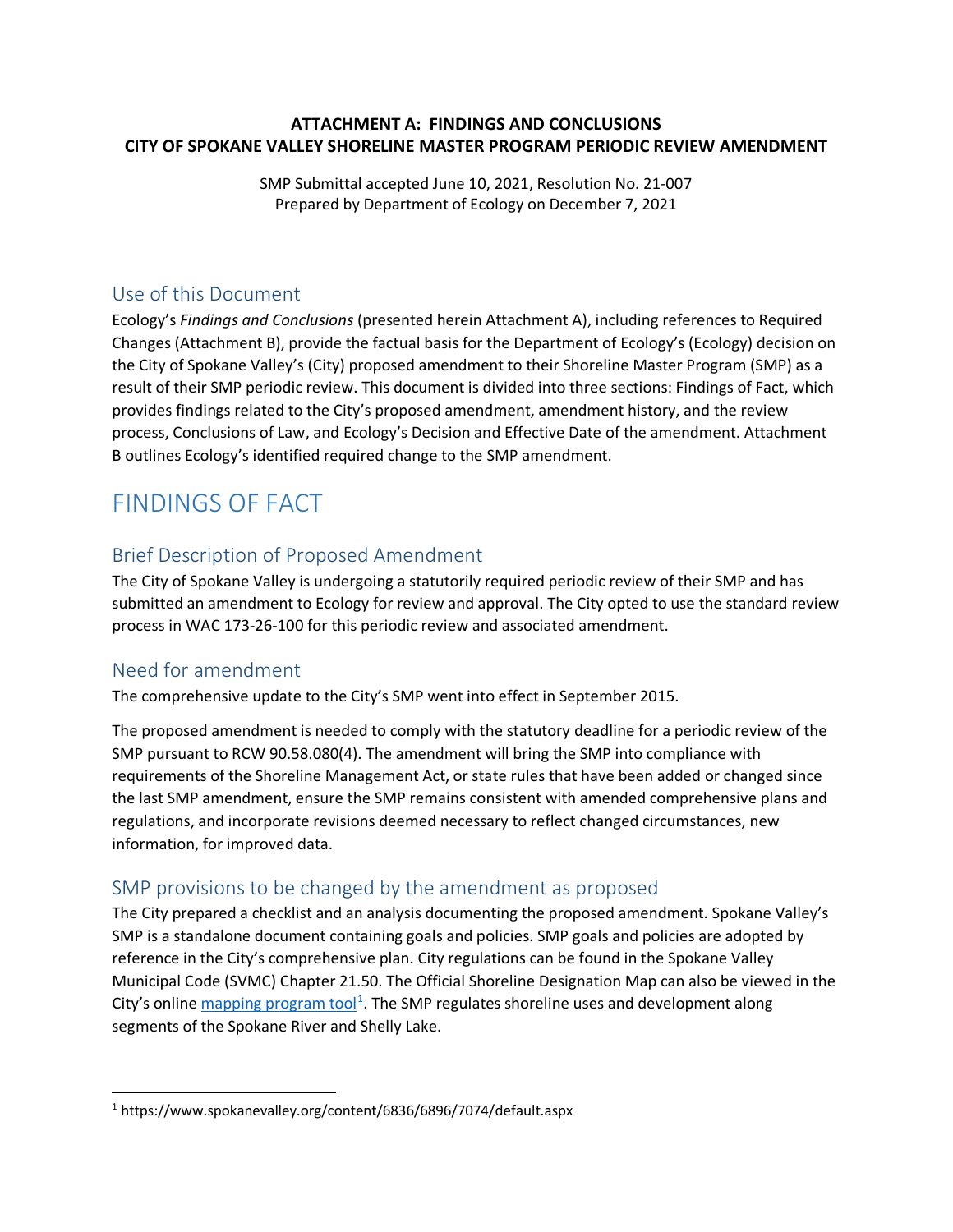## **ATTACHMENT A: FINDINGS AND CONCLUSIONS CITY OF SPOKANE VALLEY SHORELINE MASTER PROGRAM PERIODIC REVIEW AMENDMENT**

SMP Submittal accepted June 10, 2021, Resolution No. 21-007 Prepared by Department of Ecology on December 7, 2021

## Use of this Document

Ecology's *Findings and Conclusions* (presented herein Attachment A), including references to Required Changes (Attachment B), provide the factual basis for the Department of Ecology's (Ecology) decision on the City of Spokane Valley's (City) proposed amendment to their Shoreline Master Program (SMP) as a result of their SMP periodic review. This document is divided into three sections: Findings of Fact, which provides findings related to the City's proposed amendment, amendment history, and the review process, Conclusions of Law, and Ecology's Decision and Effective Date of the amendment. Attachment B outlines Ecology's identified required change to the SMP amendment.

## FINDINGS OF FACT

## Brief Description of Proposed Amendment

The City of Spokane Valley is undergoing a statutorily required periodic review of their SMP and has submitted an amendment to Ecology for review and approval. The City opted to use the standard review process in WAC 173-26-100 for this periodic review and associated amendment.

## Need for amendment

The comprehensive update to the City's SMP went into effect in September 2015.

The proposed amendment is needed to comply with the statutory deadline for a periodic review of the SMP pursuant to RCW 90.58.080(4). The amendment will bring the SMP into compliance with requirements of the Shoreline Management Act, or state rules that have been added or changed since the last SMP amendment, ensure the SMP remains consistent with amended comprehensive plans and regulations, and incorporate revisions deemed necessary to reflect changed circumstances, new information, for improved data.

## SMP provisions to be changed by the amendment as proposed

The City prepared a checklist and an analysis documenting the proposed amendment. Spokane Valley's SMP is a standalone document containing goals and policies. SMP goals and policies are adopted by reference in the City's comprehensive plan. City regulations can be found in the Spokane Valley Municipal Code (SVMC) Chapter 21.50. The Official Shoreline Designation Map can also be viewed in the City's online [mapping program tool](https://www.spokanevalley.org/content/6836/6896/7074/default.aspx)<sup>[1](#page-0-0)</sup>. The SMP regulates shoreline uses and development along segments of the Spokane River and Shelly Lake.

<span id="page-0-0"></span> <sup>1</sup> https://www.spokanevalley.org/content/6836/6896/7074/default.aspx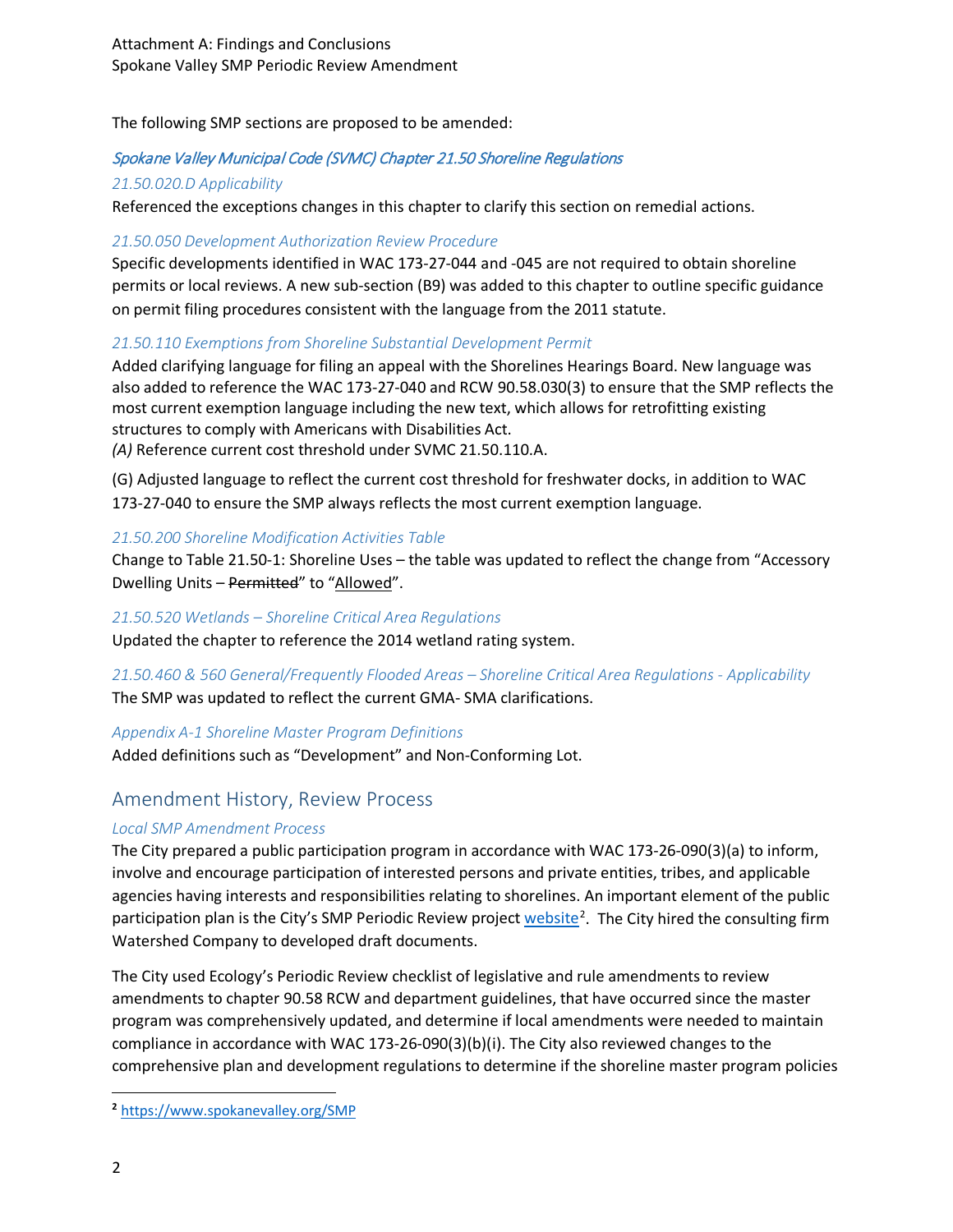The following SMP sections are proposed to be amended:

## Spokane Valley Municipal Code (SVMC) Chapter 21.50 Shoreline Regulations

## *21.50.020.D Applicability*

Referenced the exceptions changes in this chapter to clarify this section on remedial actions.

#### *21.50.050 Development Authorization Review Procedure*

Specific developments identified in WAC 173-27-044 and -045 are not required to obtain shoreline permits or local reviews. A new sub-section (B9) was added to this chapter to outline specific guidance on permit filing procedures consistent with the language from the 2011 statute.

## *21.50.110 Exemptions from Shoreline Substantial Development Permit*

Added clarifying language for filing an appeal with the Shorelines Hearings Board. New language was also added to reference the WAC 173-27-040 and RCW 90.58.030(3) to ensure that the SMP reflects the most current exemption language including the new text, which allows for retrofitting existing structures to comply with Americans with Disabilities Act.

*(A)* Reference current cost threshold under SVMC 21.50.110.A.

(G) Adjusted language to reflect the current cost threshold for freshwater docks, in addition to WAC 173-27-040 to ensure the SMP always reflects the most current exemption language.

## *21.50.200 Shoreline Modification Activities Table*

Change to Table 21.50-1: Shoreline Uses – the table was updated to reflect the change from "Accessory Dwelling Units - Permitted" to "Allowed".

#### *21.50.520 Wetlands – Shoreline Critical Area Regulations*

Updated the chapter to reference the 2014 wetland rating system.

*21.50.460 & 560 General/Frequently Flooded Areas – Shoreline Critical Area Regulations - Applicability* The SMP was updated to reflect the current GMA- SMA clarifications.

## *Appendix A-1 Shoreline Master Program Definitions*

Added definitions such as "Development" and Non-Conforming Lot.

## Amendment History, Review Process

## *Local SMP Amendment Process*

The City prepared a public participation program in accordance with WAC 173-26-090(3)(a) to inform, involve and encourage participation of interested persons and private entities, tribes, and applicable agencies having interests and responsibilities relating to shorelines. An important element of the public participation plan is the City's SMP Periodic Review project [website](https://www.spokanevalley.org/SMP)<sup>[2](#page-1-0)</sup>. The City hired the consulting firm Watershed Company to developed draft documents.

The City used Ecology's Periodic Review checklist of legislative and rule amendments to review amendments to chapter 90.58 RCW and department guidelines, that have occurred since the master program was comprehensively updated, and determine if local amendments were needed to maintain compliance in accordance with WAC 173-26-090(3)(b)(i). The City also reviewed changes to the comprehensive plan and development regulations to determine if the shoreline master program policies

 $\overline{\phantom{a}}$ 

<span id="page-1-0"></span>**<sup>2</sup>** <https://www.spokanevalley.org/SMP>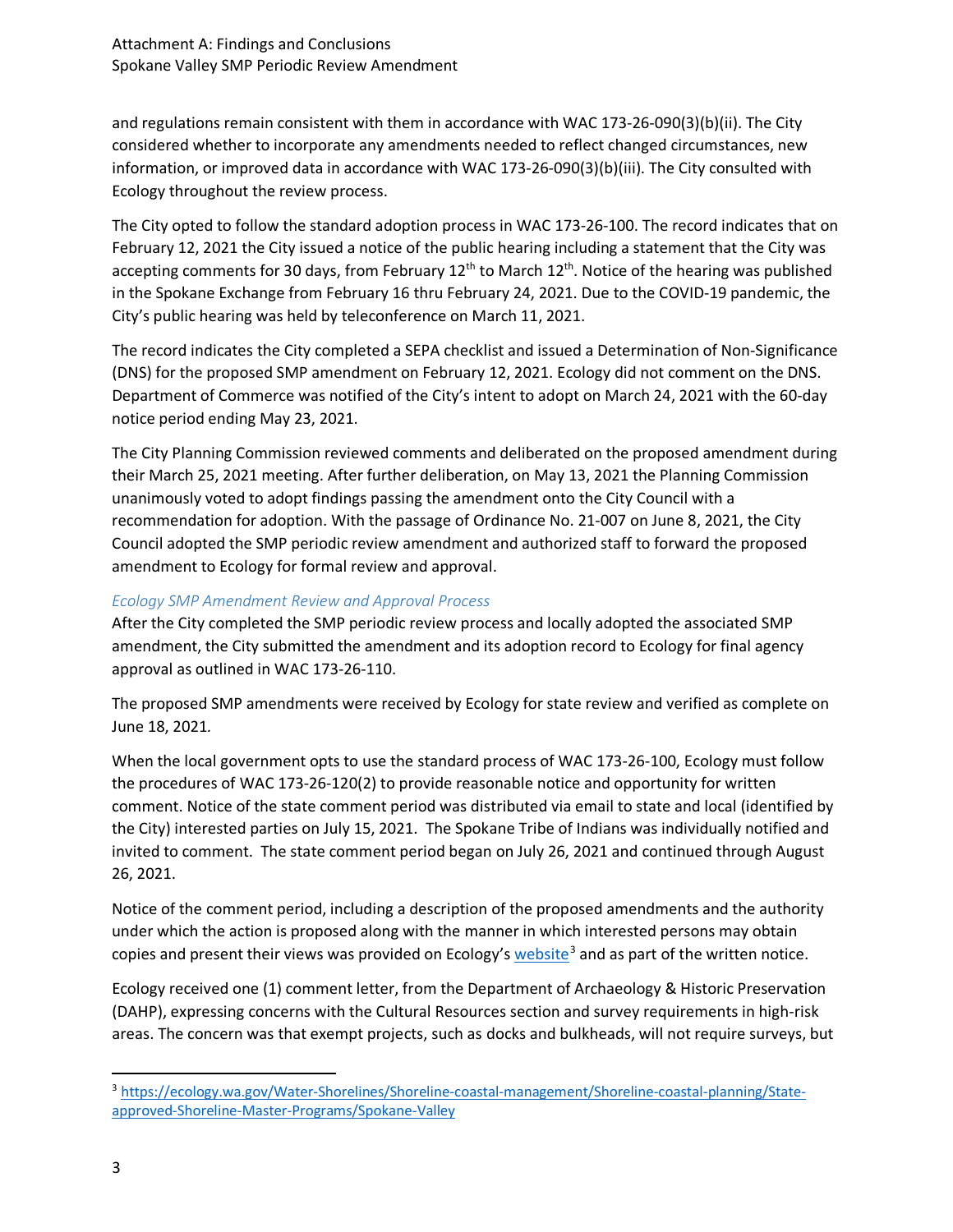and regulations remain consistent with them in accordance with WAC 173-26-090(3)(b)(ii). The City considered whether to incorporate any amendments needed to reflect changed circumstances, new information, or improved data in accordance with WAC 173-26-090(3)(b)(iii). The City consulted with Ecology throughout the review process.

The City opted to follow the standard adoption process in WAC 173-26-100. The record indicates that on February 12, 2021 the City issued a notice of the public hearing including a statement that the City was accepting comments for 30 days, from February 12<sup>th</sup> to March 12<sup>th</sup>. Notice of the hearing was published in the Spokane Exchange from February 16 thru February 24, 2021. Due to the COVID-19 pandemic, the City's public hearing was held by teleconference on March 11, 2021.

The record indicates the City completed a SEPA checklist and issued a Determination of Non-Significance (DNS) for the proposed SMP amendment on February 12, 2021. Ecology did not comment on the DNS. Department of Commerce was notified of the City's intent to adopt on March 24, 2021 with the 60-day notice period ending May 23, 2021.

The City Planning Commission reviewed comments and deliberated on the proposed amendment during their March 25, 2021 meeting. After further deliberation, on May 13, 2021 the Planning Commission unanimously voted to adopt findings passing the amendment onto the City Council with a recommendation for adoption. With the passage of Ordinance No. 21-007 on June 8, 2021, the City Council adopted the SMP periodic review amendment and authorized staff to forward the proposed amendment to Ecology for formal review and approval.

## *Ecology SMP Amendment Review and Approval Process*

After the City completed the SMP periodic review process and locally adopted the associated SMP amendment, the City submitted the amendment and its adoption record to Ecology for final agency approval as outlined in WAC 173-26-110.

The proposed SMP amendments were received by Ecology for state review and verified as complete on June 18, 2021*.*

When the local government opts to use the standard process of WAC 173-26-100, Ecology must follow the procedures of WAC 173-26-120(2) to provide reasonable notice and opportunity for written comment. Notice of the state comment period was distributed via email to state and local (identified by the City) interested parties on July 15, 2021. The Spokane Tribe of Indians was individually notified and invited to comment. The state comment period began on July 26, 2021 and continued through August 26, 2021.

Notice of the comment period, including a description of the proposed amendments and the authority under which the action is proposed along with the manner in which interested persons may obtain copies and present their views was provided on Ecology's  $website<sup>3</sup>$  $website<sup>3</sup>$  $website<sup>3</sup>$  and as part of the written notice.

Ecology received one (1) comment letter, from the Department of Archaeology & Historic Preservation (DAHP), expressing concerns with the Cultural Resources section and survey requirements in high-risk areas. The concern was that exempt projects, such as docks and bulkheads, will not require surveys, but

<span id="page-2-0"></span> <sup>3</sup> [https://ecology.wa.gov/Water-Shorelines/Shoreline-coastal-management/Shoreline-coastal-planning/State](https://ecology.wa.gov/Water-Shorelines/Shoreline-coastal-management/Shoreline-coastal-planning/State-approved-Shoreline-Master-Programs/Spokane-Valley)[approved-Shoreline-Master-Programs/Spokane-Valley](https://ecology.wa.gov/Water-Shorelines/Shoreline-coastal-management/Shoreline-coastal-planning/State-approved-Shoreline-Master-Programs/Spokane-Valley)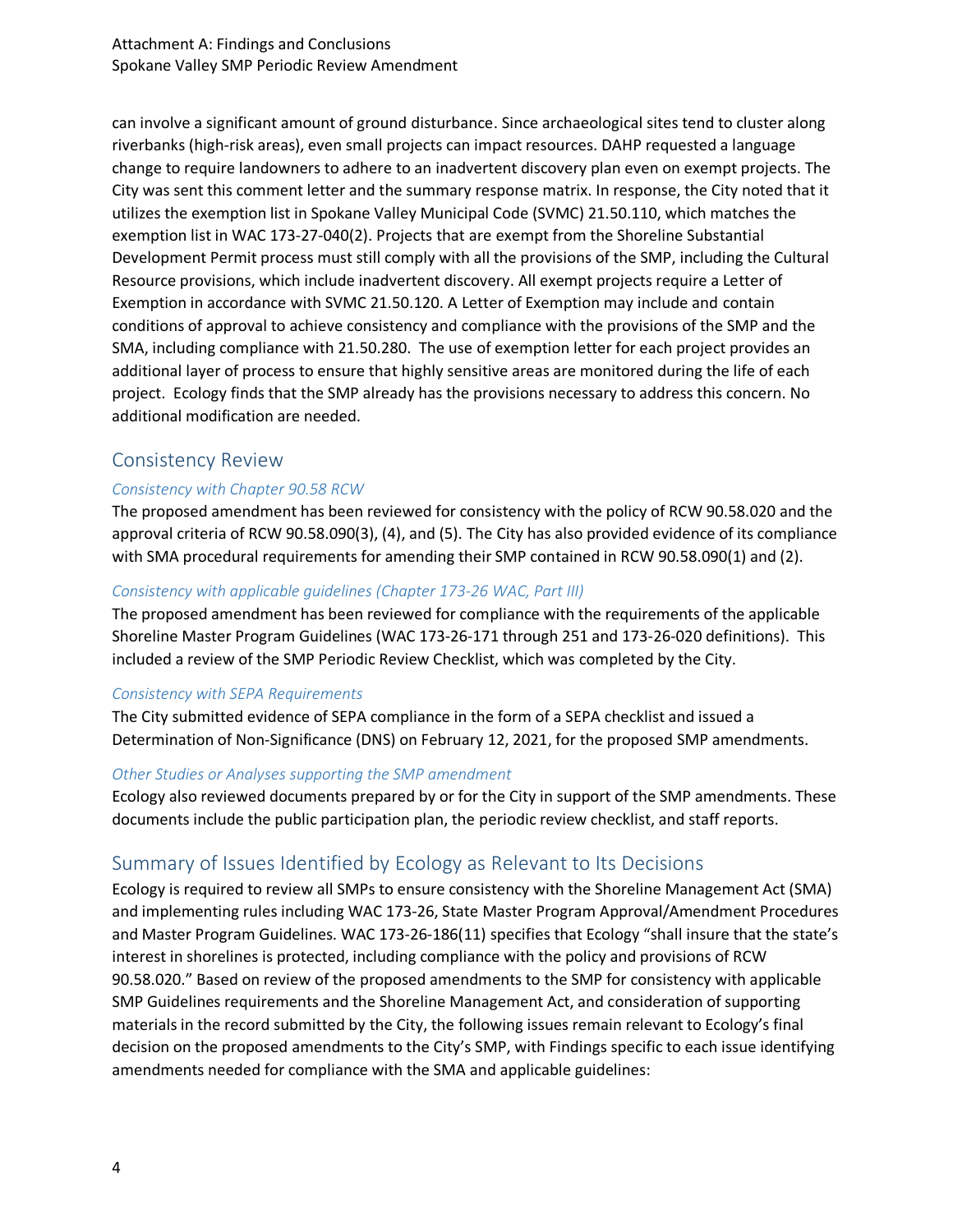can involve a significant amount of ground disturbance. Since archaeological sites tend to cluster along riverbanks (high-risk areas), even small projects can impact resources. DAHP requested a language change to require landowners to adhere to an inadvertent discovery plan even on exempt projects. The City was sent this comment letter and the summary response matrix. In response, the City noted that it utilizes the exemption list in Spokane Valley Municipal Code (SVMC) 21.50.110, which matches the exemption list in WAC 173-27-040(2). Projects that are exempt from the Shoreline Substantial Development Permit process must still comply with all the provisions of the SMP, including the Cultural Resource provisions, which include inadvertent discovery. All exempt projects require a Letter of Exemption in accordance with SVMC 21.50.120. A Letter of Exemption may include and contain conditions of approval to achieve consistency and compliance with the provisions of the SMP and the SMA, including compliance with 21.50.280. The use of exemption letter for each project provides an additional layer of process to ensure that highly sensitive areas are monitored during the life of each project. Ecology finds that the SMP already has the provisions necessary to address this concern. No additional modification are needed.

## Consistency Review

## *Consistency with Chapter 90.58 RCW*

The proposed amendment has been reviewed for consistency with the policy of RCW 90.58.020 and the approval criteria of RCW 90.58.090(3), (4), and (5). The City has also provided evidence of its compliance with SMA procedural requirements for amending their SMP contained in RCW 90.58.090(1) and (2).

#### *Consistency with applicable guidelines (Chapter 173-26 WAC, Part III)*

The proposed amendment has been reviewed for compliance with the requirements of the applicable Shoreline Master Program Guidelines (WAC 173-26-171 through 251 and 173-26-020 definitions). This included a review of the SMP Periodic Review Checklist, which was completed by the City.

#### *Consistency with SEPA Requirements*

The City submitted evidence of SEPA compliance in the form of a SEPA checklist and issued a Determination of Non-Significance (DNS) on February 12, 2021, for the proposed SMP amendments.

#### *Other Studies or Analyses supporting the SMP amendment*

Ecology also reviewed documents prepared by or for the City in support of the SMP amendments. These documents include the public participation plan, the periodic review checklist, and staff reports.

## Summary of Issues Identified by Ecology as Relevant to Its Decisions

Ecology is required to review all SMPs to ensure consistency with the Shoreline Management Act (SMA) and implementing rules including WAC 173-26, State Master Program Approval/Amendment Procedures and Master Program Guidelines. WAC 173-26-186(11) specifies that Ecology "shall insure that the state's interest in shorelines is protected, including compliance with the policy and provisions of RCW 90.58.020." Based on review of the proposed amendments to the SMP for consistency with applicable SMP Guidelines requirements and the Shoreline Management Act, and consideration of supporting materials in the record submitted by the City, the following issues remain relevant to Ecology's final decision on the proposed amendments to the City's SMP, with Findings specific to each issue identifying amendments needed for compliance with the SMA and applicable guidelines: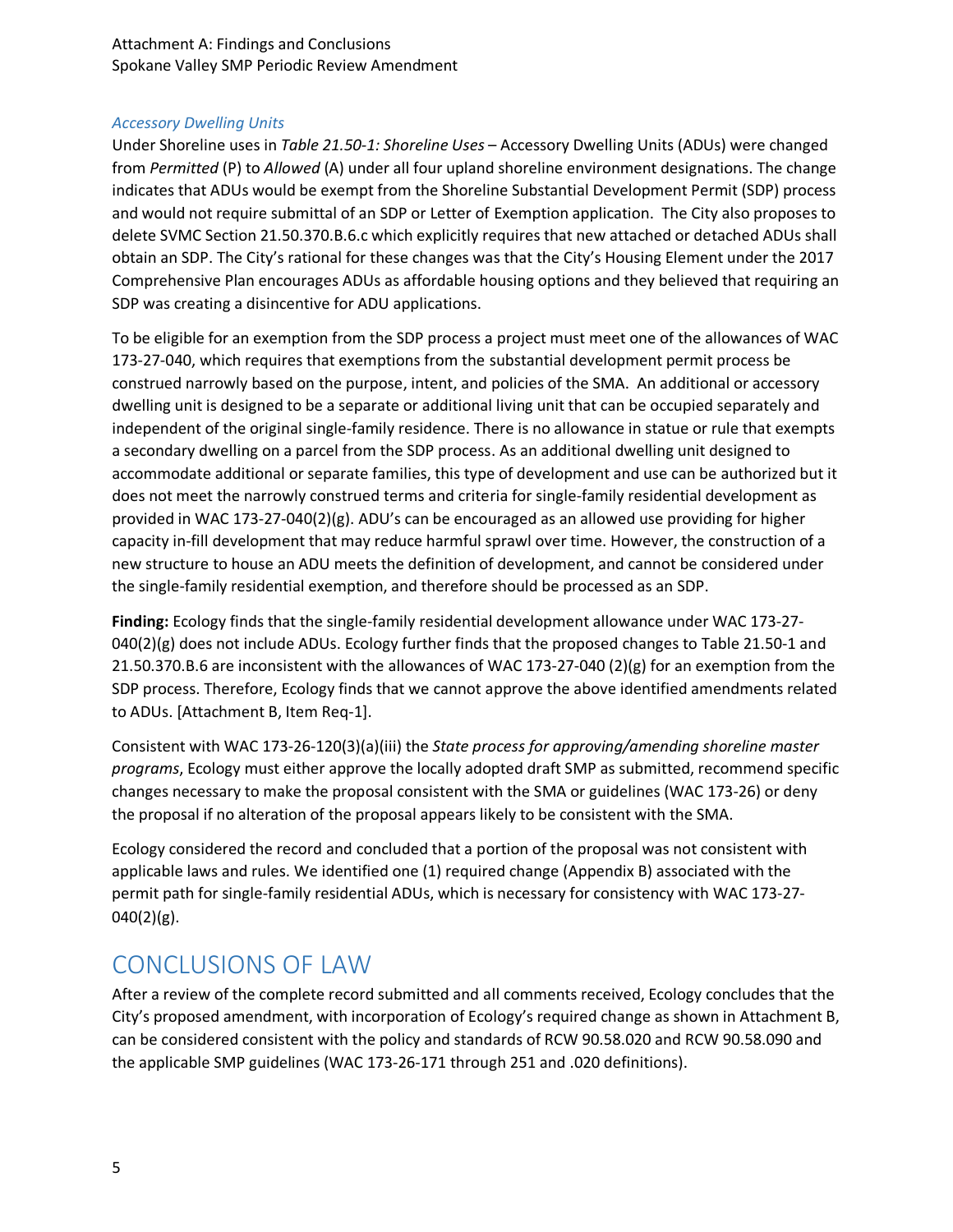Attachment A: Findings and Conclusions Spokane Valley SMP Periodic Review Amendment

#### *Accessory Dwelling Units*

Under Shoreline uses in *Table 21.50-1: Shoreline Uses* – Accessory Dwelling Units (ADUs) were changed from *Permitted* (P) to *Allowed* (A) under all four upland shoreline environment designations. The change indicates that ADUs would be exempt from the Shoreline Substantial Development Permit (SDP) process and would not require submittal of an SDP or Letter of Exemption application. The City also proposes to delete SVMC Section 21.50.370.B.6.c which explicitly requires that new attached or detached ADUs shall obtain an SDP. The City's rational for these changes was that the City's Housing Element under the 2017 Comprehensive Plan encourages ADUs as affordable housing options and they believed that requiring an SDP was creating a disincentive for ADU applications.

To be eligible for an exemption from the SDP process a project must meet one of the allowances of WAC 173-27-040, which requires that exemptions from the substantial development permit process be construed narrowly based on the purpose, intent, and policies of the SMA. An additional or accessory dwelling unit is designed to be a separate or additional living unit that can be occupied separately and independent of the original single-family residence. There is no allowance in statue or rule that exempts a secondary dwelling on a parcel from the SDP process. As an additional dwelling unit designed to accommodate additional or separate families, this type of development and use can be authorized but it does not meet the narrowly construed terms and criteria for single-family residential development as provided in WAC 173-27-040(2)(g). ADU's can be encouraged as an allowed use providing for higher capacity in-fill development that may reduce harmful sprawl over time. However, the construction of a new structure to house an ADU meets the definition of development, and cannot be considered under the single-family residential exemption, and therefore should be processed as an SDP.

**Finding:** Ecology finds that the single-family residential development allowance under WAC 173-27-  $040(2)(g)$  does not include ADUs. Ecology further finds that the proposed changes to Table 21.50-1 and 21.50.370.B.6 are inconsistent with the allowances of WAC 173-27-040 (2)(g) for an exemption from the SDP process. Therefore, Ecology finds that we cannot approve the above identified amendments related to ADUs. [Attachment B, Item Req-1].

Consistent with WAC 173-26-120(3)(a)(iii) the *State process for approving/amending shoreline master programs*, Ecology must either approve the locally adopted draft SMP as submitted, recommend specific changes necessary to make the proposal consistent with the SMA or guidelines (WAC 173-26) or deny the proposal if no alteration of the proposal appears likely to be consistent with the SMA.

Ecology considered the record and concluded that a portion of the proposal was not consistent with applicable laws and rules. We identified one (1) required change (Appendix B) associated with the permit path for single-family residential ADUs, which is necessary for consistency with WAC 173-27- 040(2)(g).

## CONCLUSIONS OF LAW

After a review of the complete record submitted and all comments received, Ecology concludes that the City's proposed amendment, with incorporation of Ecology's required change as shown in Attachment B, can be considered consistent with the policy and standards of RCW 90.58.020 and RCW 90.58.090 and the applicable SMP guidelines (WAC 173-26-171 through 251 and .020 definitions).